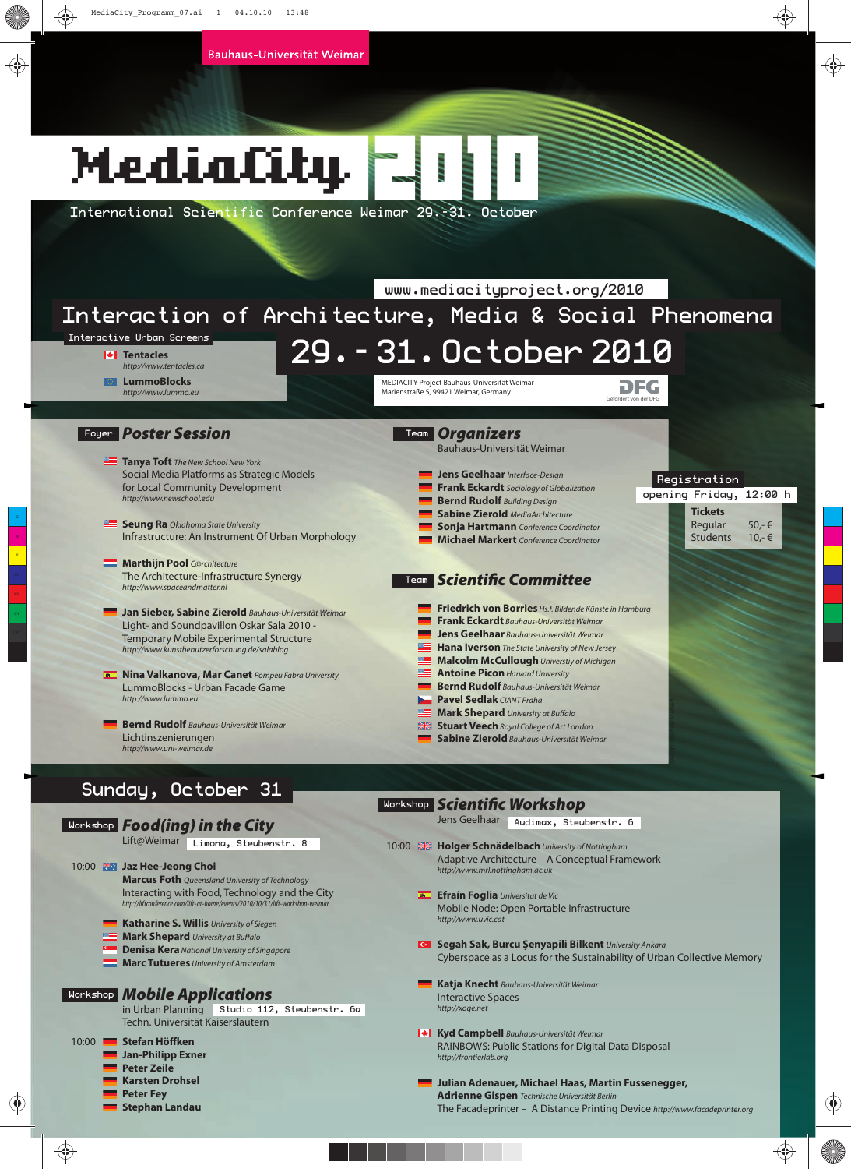## MediaCity

*http://liftconference.com/lift-at-home/events/2010/10/31/lift-workshop-weimar*

in Urban Planning Studio 112, Steubenstr. 6a

**Katharine S. Willis** University of Siegen **Mark Shepard** University at Buffalo **Denisa Kera** National University of Singapore **Marc Tutueres** University of Amsterdam

Techn. Universität Kaiserslautern

*Mobile Applications* Workshop

**Jan-Philipp Exner Peter Zeile Karsten Drohsel Peter Fey Stephan Landau** 

10:00 **Stefan Höffken**

International Scientific Conference Weimar 29.-31. October

| Interactive Urban Screens<br><b>I</b> <sup>↓</sup> I Tentacles<br>http://www.tentacles.ca           | 29. - 31. October 2010                                                                                                |  |  |  |
|-----------------------------------------------------------------------------------------------------|-----------------------------------------------------------------------------------------------------------------------|--|--|--|
| <b>LummoBlocks</b><br>http://www.lummo.eu                                                           | MEDIACITY Project Bauhaus-Universität Weimar<br>DFG<br>Marienstraße 5, 99421 Weimar, Germany<br>Gefördert von der DFG |  |  |  |
| Foyer Poster Session                                                                                | Team <b>Organizers</b><br>Bauhaus-Universität Weimar                                                                  |  |  |  |
| <b>Tanya Toft</b> The New School New York                                                           |                                                                                                                       |  |  |  |
| Social Media Platforms as Strategic Models                                                          | Jens Geelhaar Interface-Design<br>Registration                                                                        |  |  |  |
| for Local Community Development                                                                     | <b>Frank Eckardt</b> Sociology of Globalization<br>opening Friday, 12:00 h                                            |  |  |  |
| http://www.newschool.edu                                                                            | <b>Bernd Rudolf</b> Building Design<br><b>Tickets</b>                                                                 |  |  |  |
| Seung Ra Oklahoma State University                                                                  | <b>Sabine Zierold</b> MediaArchitecture<br>Regular<br>$50,-$ €                                                        |  |  |  |
| Infrastructure: An Instrument Of Urban Morphology                                                   | <b>Sonja Hartmann</b> Conference Coordinator<br><b>Students</b><br>$10,-$ €<br>Michael Markert Conference Coordinator |  |  |  |
|                                                                                                     |                                                                                                                       |  |  |  |
| Marthijn Pool C@rchitecture                                                                         |                                                                                                                       |  |  |  |
| The Architecture-Infrastructure Synergy<br>http://www.spaceandmatter.nl                             | Tean Scientific Committee                                                                                             |  |  |  |
|                                                                                                     | Friedrich von Borries Hs.f. Bildende Künste in Hamburg                                                                |  |  |  |
| Jan Sieber, Sabine Zierold Bauhaus-Universität Weimar<br>Light- and Soundpavillon Oskar Sala 2010 - | <b>Frank Eckardt</b> Bauhaus-Universität Weimar                                                                       |  |  |  |
| <b>Temporary Mobile Experimental Structure</b>                                                      | Jens Geelhaar Bauhaus-Universität Weimar                                                                              |  |  |  |
| http://www.kunstbenutzerforschung.de/salablog                                                       | <b>Hana Iverson</b> The State University of New Jersey                                                                |  |  |  |
|                                                                                                     | Malcolm McCullough Universtiy of Michigan                                                                             |  |  |  |
| <b>A. Nina Valkanova, Mar Canet</b> Pompeu Fabra University                                         | <b>Antoine Picon Harvard University</b>                                                                               |  |  |  |
| LummoBlocks - Urban Facade Game                                                                     | <b>Bernd Rudolf</b> Bauhaus-Universität Weimar                                                                        |  |  |  |
| http://www.lummo.eu                                                                                 | <b>De Pavel Sedlak</b> CIANT Praha                                                                                    |  |  |  |
| <b>Bernd Rudolf</b> Bauhaus-Universität Weimar                                                      | Mark Shepard University at Buffalo<br>Stuart Veech Royal College of Art London                                        |  |  |  |
| Lichtinszenierungen                                                                                 | Sabine Zierold Bauhaus-Universität Weimar                                                                             |  |  |  |
| http://www.uni-weimar.de                                                                            |                                                                                                                       |  |  |  |
|                                                                                                     |                                                                                                                       |  |  |  |
| Sunday,<br>October 31                                                                               |                                                                                                                       |  |  |  |
|                                                                                                     | <b>Workshop Scientific Workshop</b>                                                                                   |  |  |  |
| <b>Workshop Food(ing) in the City</b>                                                               | Jens Geelhaar<br>Audimax, Steubenstr. 6                                                                               |  |  |  |
| Lift@Weimar                                                                                         |                                                                                                                       |  |  |  |
| Limona, Steubenstr. 8                                                                               | 10:00 <b>X Holger Schnädelbach</b> University of Nottingham                                                           |  |  |  |
| 10:00 <b>**</b> Jaz Hee-Jeong Choi                                                                  | Adaptive Architecture - A Conceptual Framework -<br>http://www.mrl.nottingham.ac.uk                                   |  |  |  |
| <b>Marcus Foth</b> Queensland University of Technology                                              |                                                                                                                       |  |  |  |
| Interacting with Food, Technology and the City                                                      | <b>Efrain Foglia</b> Universitat de Vic                                                                               |  |  |  |

- **Efraín Foglia** Universitat de Vic Mobile Node: Open Portable Infrastructure http://www.uvic.cat
- **Segah Sak, Burcu Şenyapili Bilkent** University Ankara Cyberspace as a Locus for the Sustainability of Urban Collective Memory
- **Katja Knecht** Bauhaus-Universität Weimar Interactive Spaces http://xoqe.net
- **Kyd Campbell** Bauhaus-Universität Weimar RAINBOWS: Public Stations for Digital Data Disposal http://frontierlab.org
	- **Julian Adenauer, Michael Haas, Martin Fussenegger, Adrienne Gispen** Technische Universität Berlin The Facadeprinter – A Distance Printing Device http://www.facadeprinter.org